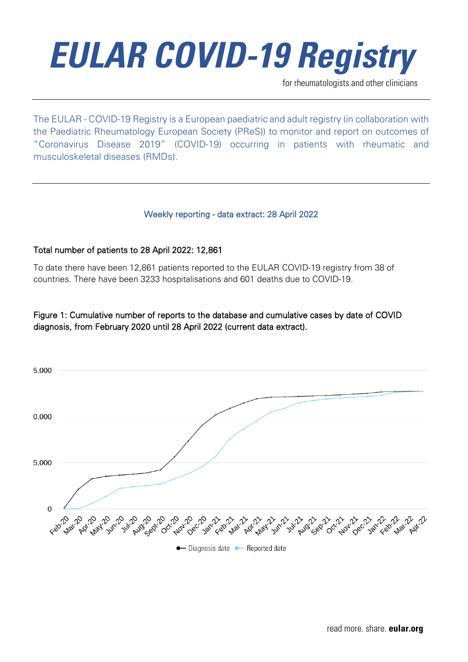for rheumatologists and other clinicians

The EULAR - COVID-19 Registry is a European paediatric and adult registry (in collaboration with the Paediatric Rheumatology European Society (PReS)) to monitor and report on outcomes of "Coronavirus Disease 2019" (COVID-19) occurring in patients with rheumatic and musculoskeletal diseases (RMDs).

#### Weekly reporting - data extract: 28 April 2022

#### Total number of patients to 28 April 2022: 12,861

To date there have been 12,861 patients reported to the EULAR COVID-19 registry from 38 of countries. There have been 3233 hospitalisations and 601 deaths due to COVID-19.

#### Figure 1: Cumulative number of reports to the database and cumulative cases by date of COVID diagnosis, from February 2020 until 28 April 2022 (current data extract).

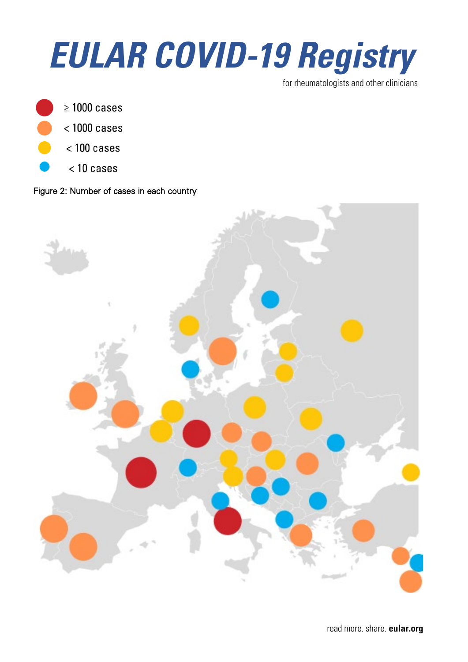

for rheumatologists and other clinicians



### $<$  1000 cases

- $<$  100 cases
	- $<$  10 cases

#### Figure 2: Number of cases in each country

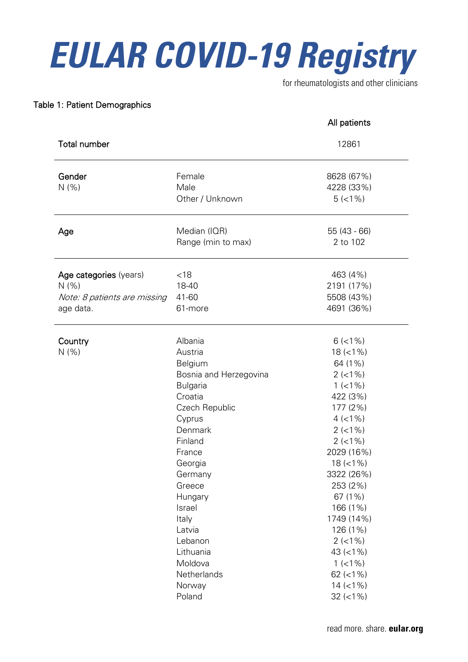for rheumatologists and other clinicians

All patients

#### Table 1: Patient Demographics

|                                                                              |                                                                                                                                                                                                                                                                                                 | All patients                                                                                                                                                                                                                                                                                                             |
|------------------------------------------------------------------------------|-------------------------------------------------------------------------------------------------------------------------------------------------------------------------------------------------------------------------------------------------------------------------------------------------|--------------------------------------------------------------------------------------------------------------------------------------------------------------------------------------------------------------------------------------------------------------------------------------------------------------------------|
| <b>Total number</b>                                                          |                                                                                                                                                                                                                                                                                                 | 12861                                                                                                                                                                                                                                                                                                                    |
| Gender<br>N(% )                                                              | Female<br>Male<br>Other / Unknown                                                                                                                                                                                                                                                               | 8628 (67%)<br>4228 (33%)<br>$5(<1\%)$                                                                                                                                                                                                                                                                                    |
| Age                                                                          | Median (IQR)<br>Range (min to max)                                                                                                                                                                                                                                                              | 55 (43 - 66)<br>2 to 102                                                                                                                                                                                                                                                                                                 |
| Age categories (years)<br>N(% )<br>Note: 8 patients are missing<br>age data. | < 18<br>18-40<br>41-60<br>61-more                                                                                                                                                                                                                                                               | 463 (4%)<br>2191 (17%)<br>5508 (43%)<br>4691 (36%)                                                                                                                                                                                                                                                                       |
| Country<br>N(% )                                                             | Albania<br>Austria<br>Belgium<br>Bosnia and Herzegovina<br><b>Bulgaria</b><br>Croatia<br>Czech Republic<br>Cyprus<br>Denmark<br>Finland<br>France<br>Georgia<br>Germany<br>Greece<br>Hungary<br>Israel<br>Italy<br>Latvia<br>Lebanon<br>Lithuania<br>Moldova<br>Netherlands<br>Norway<br>Poland | $6$ (<1%)<br>$18 (=1%)$<br>64 (1%)<br>$2$ (<1%)<br>$1$ (<1%)<br>422 (3%)<br>177 (2%)<br>$4$ (<1%)<br>$2$ (<1%)<br>$2$ (<1%)<br>2029 (16%)<br>$18 (=1%)$<br>3322 (26%)<br>253 (2%)<br>67 (1%)<br>166 (1%)<br>1749 (14%)<br>126 (1%)<br>$2$ (<1%)<br>43 $(< 1\%)$<br>$1$ (<1%)<br>62 $(< 1\%)$<br>$14 (-1%)$<br>$32$ (<1%) |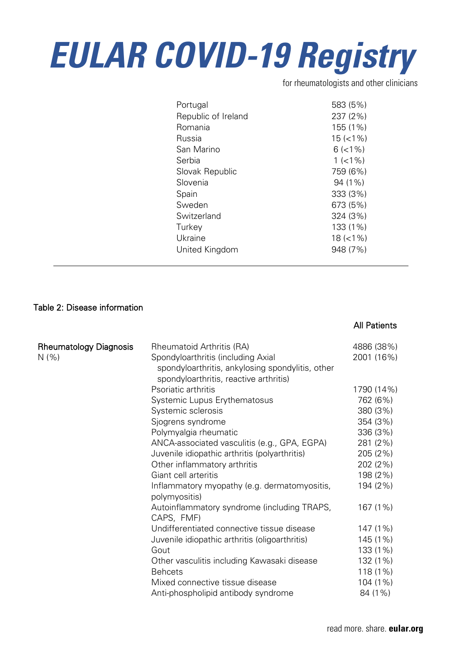for rheumatologists and other clinicians

| Portugal            | 583 (5%)      |
|---------------------|---------------|
| Republic of Ireland | 237 (2%)      |
| Romania             | 155 (1%)      |
| Russia              | $15 (< 1\%)$  |
| San Marino          | $6$ ( $<$ 1%) |
| Serbia              | $1$ (<1%)     |
| Slovak Republic     | 759 (6%)      |
| Slovenia            | 94 (1%)       |
| Spain               | 333 (3%)      |
| Sweden              | 673 (5%)      |
| Switzerland         | 324 (3%)      |
| Turkey              | 133 (1%)      |
| Ukraine             | $18 (< 1\%)$  |
| United Kingdom      | 948 (7%)      |

#### Table 2: Disease information

#### All Patients

| <b>Rheumatology Diagnosis</b> | Rheumatoid Arthritis (RA)                                     | 4886 (38%) |
|-------------------------------|---------------------------------------------------------------|------------|
| N(% )                         | Spondyloarthritis (including Axial                            | 2001 (16%) |
|                               | spondyloarthritis, ankylosing spondylitis, other              |            |
|                               | spondyloarthritis, reactive arthritis)                        |            |
|                               | Psoriatic arthritis                                           | 1790 (14%) |
|                               | Systemic Lupus Erythematosus                                  | 762 (6%)   |
|                               | Systemic sclerosis                                            | 380 (3%)   |
|                               | Sjogrens syndrome                                             | 354 (3%)   |
|                               | Polymyalgia rheumatic                                         | 336 (3%)   |
|                               | ANCA-associated vasculitis (e.g., GPA, EGPA)                  | 281 (2%)   |
|                               | Juvenile idiopathic arthritis (polyarthritis)                 | 205 (2%)   |
|                               | Other inflammatory arthritis                                  | 202 (2%)   |
|                               | Giant cell arteritis                                          | 198 (2%)   |
|                               | Inflammatory myopathy (e.g. dermatomyositis,<br>polymyositis) | 194 (2%)   |
|                               | Autoinflammatory syndrome (including TRAPS,<br>CAPS, FMF)     | 167 (1%)   |
|                               | Undifferentiated connective tissue disease                    | 147 (1%)   |
|                               | Juvenile idiopathic arthritis (oligoarthritis)                | 145 (1%)   |
|                               | Gout                                                          | 133 (1%)   |
|                               | Other vasculitis including Kawasaki disease                   | 132 (1%)   |
|                               | <b>Behcets</b>                                                | 118 (1%)   |
|                               | Mixed connective tissue disease                               | 104 (1%)   |
|                               | Anti-phospholipid antibody syndrome                           | 84 (1%)    |
|                               |                                                               |            |